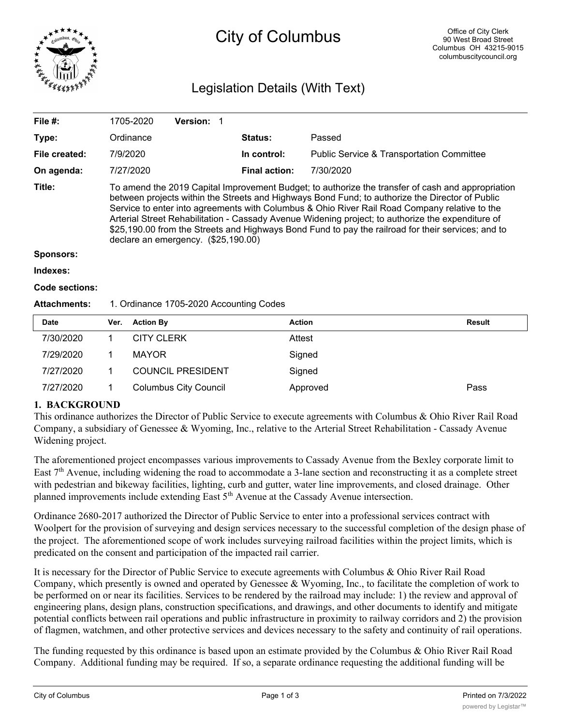

# City of Columbus

# Legislation Details (With Text)

| File $#$ :       | 1705-2020                                                                                                                                                                                                                                                                                                                                                                                                                                                                                                                                               | <b>Version: 1</b> |                      |                                                      |  |  |
|------------------|---------------------------------------------------------------------------------------------------------------------------------------------------------------------------------------------------------------------------------------------------------------------------------------------------------------------------------------------------------------------------------------------------------------------------------------------------------------------------------------------------------------------------------------------------------|-------------------|----------------------|------------------------------------------------------|--|--|
| Type:            | Ordinance                                                                                                                                                                                                                                                                                                                                                                                                                                                                                                                                               |                   | <b>Status:</b>       | Passed                                               |  |  |
| File created:    | 7/9/2020                                                                                                                                                                                                                                                                                                                                                                                                                                                                                                                                                |                   | In control:          | <b>Public Service &amp; Transportation Committee</b> |  |  |
| On agenda:       | 7/27/2020                                                                                                                                                                                                                                                                                                                                                                                                                                                                                                                                               |                   | <b>Final action:</b> | 7/30/2020                                            |  |  |
| Title:           | To amend the 2019 Capital Improvement Budget; to authorize the transfer of cash and appropriation<br>between projects within the Streets and Highways Bond Fund; to authorize the Director of Public<br>Service to enter into agreements with Columbus & Ohio River Rail Road Company relative to the<br>Arterial Street Rehabilitation - Cassady Avenue Widening project; to authorize the expenditure of<br>\$25,190.00 from the Streets and Highways Bond Fund to pay the railroad for their services; and to<br>declare an emergency. (\$25,190.00) |                   |                      |                                                      |  |  |
| <b>Sponsors:</b> |                                                                                                                                                                                                                                                                                                                                                                                                                                                                                                                                                         |                   |                      |                                                      |  |  |
| Indexes:         |                                                                                                                                                                                                                                                                                                                                                                                                                                                                                                                                                         |                   |                      |                                                      |  |  |
|                  |                                                                                                                                                                                                                                                                                                                                                                                                                                                                                                                                                         |                   |                      |                                                      |  |  |

#### **Code sections:**

#### Attachments: 1. Ordinance 1705-2020 Accounting Codes

| <b>Date</b> | Ver. | <b>Action By</b>             | <b>Action</b> | Result |
|-------------|------|------------------------------|---------------|--------|
| 7/30/2020   |      | <b>CITY CLERK</b>            | Attest        |        |
| 7/29/2020   |      | <b>MAYOR</b>                 | Signed        |        |
| 7/27/2020   |      | <b>COUNCIL PRESIDENT</b>     | Signed        |        |
| 7/27/2020   |      | <b>Columbus City Council</b> | Approved      | Pass   |

#### **1. BACKGROUND**

This ordinance authorizes the Director of Public Service to execute agreements with Columbus & Ohio River Rail Road Company, a subsidiary of Genessee & Wyoming, Inc., relative to the Arterial Street Rehabilitation - Cassady Avenue Widening project.

The aforementioned project encompasses various improvements to Cassady Avenue from the Bexley corporate limit to East 7<sup>th</sup> Avenue, including widening the road to accommodate a 3-lane section and reconstructing it as a complete street with pedestrian and bikeway facilities, lighting, curb and gutter, water line improvements, and closed drainage. Other planned improvements include extending East 5<sup>th</sup> Avenue at the Cassady Avenue intersection.

Ordinance 2680-2017 authorized the Director of Public Service to enter into a professional services contract with Woolpert for the provision of surveying and design services necessary to the successful completion of the design phase of the project. The aforementioned scope of work includes surveying railroad facilities within the project limits, which is predicated on the consent and participation of the impacted rail carrier.

It is necessary for the Director of Public Service to execute agreements with Columbus & Ohio River Rail Road Company, which presently is owned and operated by Genessee & Wyoming, Inc., to facilitate the completion of work to be performed on or near its facilities. Services to be rendered by the railroad may include: 1) the review and approval of engineering plans, design plans, construction specifications, and drawings, and other documents to identify and mitigate potential conflicts between rail operations and public infrastructure in proximity to railway corridors and 2) the provision of flagmen, watchmen, and other protective services and devices necessary to the safety and continuity of rail operations.

The funding requested by this ordinance is based upon an estimate provided by the Columbus & Ohio River Rail Road Company. Additional funding may be required. If so, a separate ordinance requesting the additional funding will be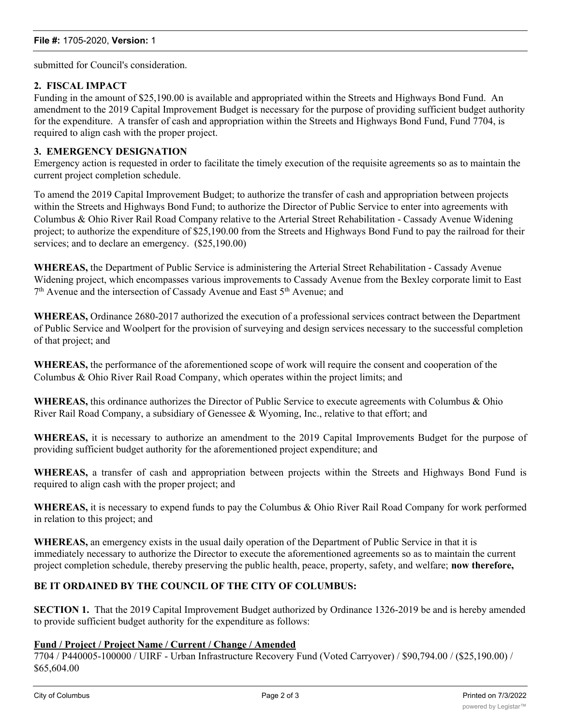submitted for Council's consideration.

# **2. FISCAL IMPACT**

Funding in the amount of \$25,190.00 is available and appropriated within the Streets and Highways Bond Fund. An amendment to the 2019 Capital Improvement Budget is necessary for the purpose of providing sufficient budget authority for the expenditure. A transfer of cash and appropriation within the Streets and Highways Bond Fund, Fund 7704, is required to align cash with the proper project.

# **3. EMERGENCY DESIGNATION**

Emergency action is requested in order to facilitate the timely execution of the requisite agreements so as to maintain the current project completion schedule.

To amend the 2019 Capital Improvement Budget; to authorize the transfer of cash and appropriation between projects within the Streets and Highways Bond Fund; to authorize the Director of Public Service to enter into agreements with Columbus & Ohio River Rail Road Company relative to the Arterial Street Rehabilitation - Cassady Avenue Widening project; to authorize the expenditure of \$25,190.00 from the Streets and Highways Bond Fund to pay the railroad for their services; and to declare an emergency.  $(S25,190.00)$ 

**WHEREAS,** the Department of Public Service is administering the Arterial Street Rehabilitation - Cassady Avenue Widening project, which encompasses various improvements to Cassady Avenue from the Bexley corporate limit to East  $7<sup>th</sup>$  Avenue and the intersection of Cassady Avenue and East  $5<sup>th</sup>$  Avenue; and

**WHEREAS,** Ordinance 2680-2017 authorized the execution of a professional services contract between the Department of Public Service and Woolpert for the provision of surveying and design services necessary to the successful completion of that project; and

**WHEREAS,** the performance of the aforementioned scope of work will require the consent and cooperation of the Columbus & Ohio River Rail Road Company, which operates within the project limits; and

**WHEREAS,** this ordinance authorizes the Director of Public Service to execute agreements with Columbus & Ohio River Rail Road Company, a subsidiary of Genessee & Wyoming, Inc., relative to that effort; and

**WHEREAS,** it is necessary to authorize an amendment to the 2019 Capital Improvements Budget for the purpose of providing sufficient budget authority for the aforementioned project expenditure; and

**WHEREAS,** a transfer of cash and appropriation between projects within the Streets and Highways Bond Fund is required to align cash with the proper project; and

**WHEREAS,** it is necessary to expend funds to pay the Columbus & Ohio River Rail Road Company for work performed in relation to this project; and

**WHEREAS,** an emergency exists in the usual daily operation of the Department of Public Service in that it is immediately necessary to authorize the Director to execute the aforementioned agreements so as to maintain the current project completion schedule, thereby preserving the public health, peace, property, safety, and welfare; **now therefore,**

# **BE IT ORDAINED BY THE COUNCIL OF THE CITY OF COLUMBUS:**

**SECTION 1.** That the 2019 Capital Improvement Budget authorized by Ordinance 1326-2019 be and is hereby amended to provide sufficient budget authority for the expenditure as follows:

### **Fund / Project / Project Name / Current / Change / Amended**

7704 / P440005-100000 / UIRF - Urban Infrastructure Recovery Fund (Voted Carryover) / \$90,794.00 / (\$25,190.00) / \$65,604.00